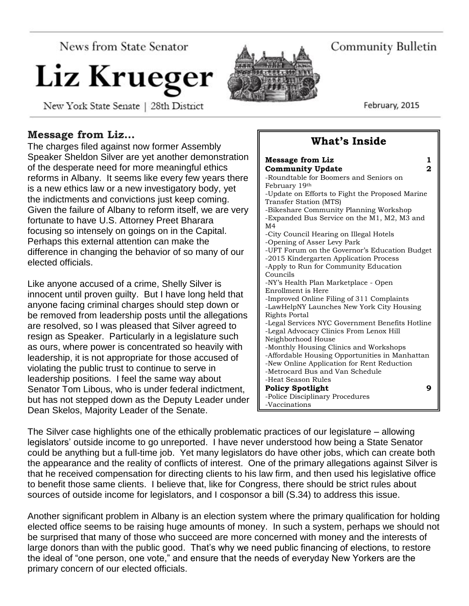**News from State Senator** 

# Liz Krueger

New York State Senate | 28th District

# Community Bulletin

**What's Inside**

February, 2015

# **Message from Liz…**

The charges filed against now former Assembly Speaker Sheldon Silver are yet another demonstration of the desperate need for more meaningful ethics reforms in Albany. It seems like every few years there is a new ethics law or a new investigatory body, yet the indictments and convictions just keep coming. Given the failure of Albany to reform itself, we are very fortunate to have U.S. Attorney Preet Bharara focusing so intensely on goings on in the Capital. Perhaps this external attention can make the difference in changing the behavior of so many of our elected officials.

Like anyone accused of a crime, Shelly Silver is innocent until proven guilty. But I have long held that anyone facing criminal charges should step down or be removed from leadership posts until the allegations are resolved, so I was pleased that Silver agreed to resign as Speaker. Particularly in a legislature such as ours, where power is concentrated so heavily with leadership, it is not appropriate for those accused of violating the public trust to continue to serve in leadership positions. I feel the same way about Senator Tom Libous, who is under federal indictment, but has not stepped down as the Deputy Leader under Dean Skelos, Majority Leader of the Senate.

#### **Message from Liz** 1 **Community Update 2** -Roundtable for Boomers and Seniors on February 19th -Update on Efforts to Fight the Proposed Marine Transfer Station (MTS) -Bikeshare Community Planning Workshop -Expanded Bus Service on the M1, M2, M3 and M4 -City Council Hearing on Illegal Hotels -Opening of Asser Levy Park -UFT Forum on the Governor's Education Budget -2015 Kindergarten Application Process -Apply to Run for Community Education Councils -NY's Health Plan Marketplace - Open Enrollment is Here -Improved Online Filing of 311 Complaints -LawHelpNY Launches New York City Housing Rights Portal -Legal Services NYC Government Benefits Hotline -Legal Advocacy Clinics From Lenox Hill Neighborhood House -Monthly Housing Clinics and Workshops -Affordable Housing Opportunities in Manhattan -New Online Application for Rent Reduction -Metrocard Bus and Van Schedule -Heat Season Rules **Policy Spotlight 9** -Police Disciplinary Procedures -Vaccinations

The Silver case highlights one of the ethically problematic practices of our legislature – allowing legislators' outside income to go unreported. I have never understood how being a State Senator could be anything but a full-time job. Yet many legislators do have other jobs, which can create both the appearance and the reality of conflicts of interest. One of the primary allegations against Silver is that he received compensation for directing clients to his law firm, and then used his legislative office to benefit those same clients. I believe that, like for Congress, there should be strict rules about sources of outside income for legislators, and I cosponsor a bill (S.34) to address this issue.

Another significant problem in Albany is an election system where the primary qualification for holding elected office seems to be raising huge amounts of money. In such a system, perhaps we should not be surprised that many of those who succeed are more concerned with money and the interests of large donors than with the public good. That's why we need public financing of elections, to restore the ideal of "one person, one vote," and ensure that the needs of everyday New Yorkers are the primary concern of our elected officials.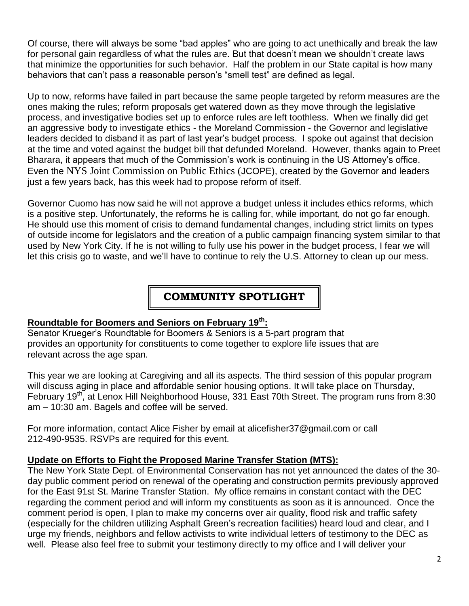Of course, there will always be some "bad apples" who are going to act unethically and break the law for personal gain regardless of what the rules are. But that doesn't mean we shouldn't create laws that minimize the opportunities for such behavior. Half the problem in our State capital is how many behaviors that can't pass a reasonable person's "smell test" are defined as legal.

Up to now, reforms have failed in part because the same people targeted by reform measures are the ones making the rules; reform proposals get watered down as they move through the legislative process, and investigative bodies set up to enforce rules are left toothless. When we finally did get an aggressive body to investigate ethics - the Moreland Commission - the Governor and legislative leaders decided to disband it as part of last year's budget process. I spoke out against that decision at the time and voted against the budget bill that defunded Moreland. However, thanks again to Preet Bharara, it appears that much of the Commission's work is continuing in the US Attorney's office. Even the [NYS Joint Commission on Public Ethics](http://www.jcope.ny.gov/) (JCOPE), created by the Governor and leaders just a few years back, has this week had to propose reform of itself.

Governor Cuomo has now said he will not approve a budget unless it includes ethics reforms, which is a positive step. Unfortunately, the reforms he is calling for, while important, do not go far enough. He should use this moment of crisis to demand fundamental changes, including strict limits on types of outside income for legislators and the creation of a public campaign financing system similar to that used by New York City. If he is not willing to fully use his power in the budget process, I fear we will let this crisis go to waste, and we'll have to continue to rely the U.S. Attorney to clean up our mess.

# **COMMUNITY SPOTLIGHT**

#### **Roundtable for Boomers and Seniors on February 19th:**

Senator Krueger's Roundtable for Boomers & Seniors is a 5-part program that provides an opportunity for constituents to come together to explore life issues that are relevant across the age span.

This year we are looking at Caregiving and all its aspects. The third session of this popular program will discuss aging in place and affordable senior housing options. It will take place on Thursday, February 19<sup>th</sup>, at Lenox Hill Neighborhood House, 331 East 70th Street. The program runs from 8:30 am – 10:30 am. Bagels and coffee will be served.

For more information, contact Alice Fisher by email at alicefisher37@gmail.com or call 212-490-9535. RSVPs are required for this event.

#### **Update on Efforts to Fight the Proposed Marine Transfer Station (MTS):**

The New York State Dept. of Environmental Conservation has not yet announced the dates of the 30 day public comment period on renewal of the operating and construction permits previously approved for the East 91st St. Marine Transfer Station. My office remains in constant contact with the DEC regarding the comment period and will inform my constituents as soon as it is announced. Once the comment period is open, I plan to make my concerns over air quality, flood risk and traffic safety (especially for the children utilizing Asphalt Green's recreation facilities) heard loud and clear, and I urge my friends, neighbors and fellow activists to write individual letters of testimony to the DEC as well. Please also feel free to submit your testimony directly to my office and I will deliver your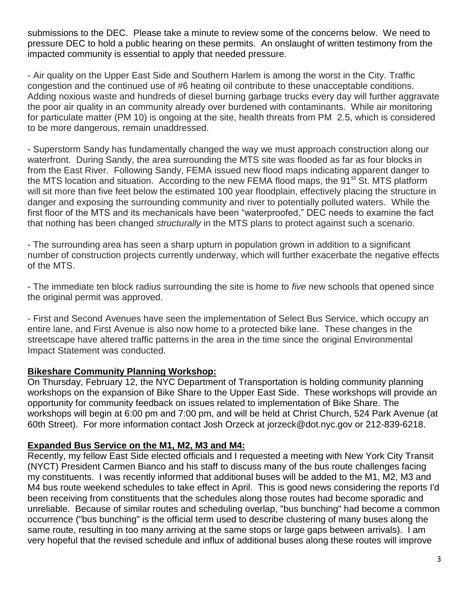submissions to the DEC. Please take a minute to review some of the concerns below. We need to pressure DEC to hold a public hearing on these permits. An onslaught of written testimony from the impacted community is essential to apply that needed pressure.

- Air quality on the Upper East Side and Southern Harlem is among the worst in the City. Traffic congestion and the continued use of #6 heating oil contribute to these unacceptable conditions. Adding noxious waste and hundreds of diesel burning garbage trucks every day will further aggravate the poor air quality in an community already over burdened with contaminants. While air monitoring for particulate matter (PM 10) is ongoing at the site, health threats from PM 2.5, which is considered to be more dangerous, remain unaddressed.

- Superstorm Sandy has fundamentally changed the way we must approach construction along our waterfront. During Sandy, the area surrounding the MTS site was flooded as far as four blocks in from the East River. Following Sandy, FEMA issued new flood maps indicating apparent danger to the MTS location and situation. According to the new FEMA flood maps, the 91<sup>st</sup> St. MTS platform will sit more than five feet below the estimated 100 year floodplain, effectively placing the structure in danger and exposing the surrounding community and river to potentially polluted waters. While the first floor of the MTS and its mechanicals have been "waterproofed," DEC needs to examine the fact that nothing has been changed *structurally* in the MTS plans to protect against such a scenario.

- The surrounding area has seen a sharp upturn in population grown in addition to a significant number of construction projects currently underway, which will further exacerbate the negative effects of the MTS.

- The immediate ten block radius surrounding the site is home to *five* new schools that opened since the original permit was approved.

- First and Second Avenues have seen the implementation of Select Bus Service, which occupy an entire lane, and First Avenue is also now home to a protected bike lane. These changes in the streetscape have altered traffic patterns in the area in the time since the original Environmental Impact Statement was conducted.

#### **Bikeshare Community Planning Workshop:**

On Thursday, February 12, the NYC Department of Transportation is holding community planning workshops on the expansion of Bike Share to the Upper East Side. These workshops will provide an opportunity for community feedback on issues related to implementation of Bike Share. The workshops will begin at 6:00 pm and 7:00 pm, and will be held at Christ Church, 524 Park Avenue (at 60th Street). For more information contact Josh Orzeck at jorzeck@dot.nyc.gov or 212-839-6218.

#### **Expanded Bus Service on the M1, M2, M3 and M4:**

Recently, my fellow East Side elected officials and I requested a meeting with New York City Transit (NYCT) President Carmen Bianco and his staff to discuss many of the bus route challenges facing my constituents. I was recently informed that additional buses will be added to the M1, M2, M3 and M4 bus route weekend schedules to take effect in April. This is good news considering the reports I'd been receiving from constituents that the schedules along those routes had become sporadic and unreliable. Because of similar routes and scheduling overlap, "bus bunching" had become a common occurrence ("bus bunching" is the official term used to describe clustering of many buses along the same route, resulting in too many arriving at the same stops or large gaps between arrivals). I am very hopeful that the revised schedule and influx of additional buses along these routes will improve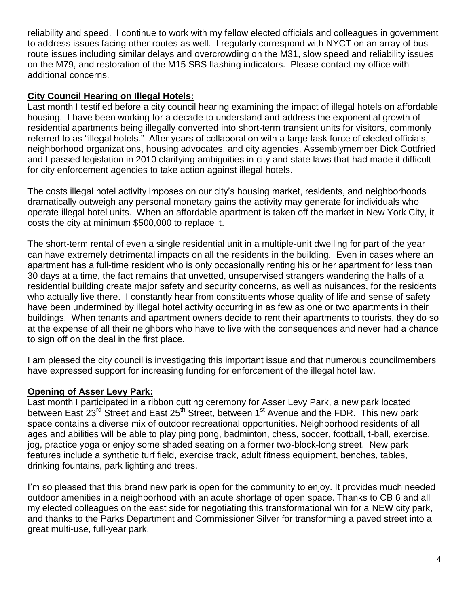reliability and speed. I continue to work with my fellow elected officials and colleagues in government to address issues facing other routes as well. I regularly correspond with NYCT on an array of bus route issues including similar delays and overcrowding on the M31, slow speed and reliability issues on the M79, and restoration of the M15 SBS flashing indicators. Please contact my office with additional concerns.

#### **City Council Hearing on Illegal Hotels:**

Last month I testified before a city council hearing examining the impact of illegal hotels on affordable housing. I have been working for a decade to understand and address the exponential growth of residential apartments being illegally converted into short-term transient units for visitors, commonly referred to as "illegal hotels." After years of collaboration with a large task force of elected officials, neighborhood organizations, housing advocates, and city agencies, Assemblymember Dick Gottfried and I passed legislation in 2010 clarifying ambiguities in city and state laws that had made it difficult for city enforcement agencies to take action against illegal hotels.

The costs illegal hotel activity imposes on our city's housing market, residents, and neighborhoods dramatically outweigh any personal monetary gains the activity may generate for individuals who operate illegal hotel units. When an affordable apartment is taken off the market in New York City, it costs the city at minimum \$500,000 to replace it.

The short-term rental of even a single residential unit in a multiple-unit dwelling for part of the year can have extremely detrimental impacts on all the residents in the building. Even in cases where an apartment has a full-time resident who is only occasionally renting his or her apartment for less than 30 days at a time, the fact remains that unvetted, unsupervised strangers wandering the halls of a residential building create major safety and security concerns, as well as nuisances, for the residents who actually live there. I constantly hear from constituents whose quality of life and sense of safety have been undermined by illegal hotel activity occurring in as few as one or two apartments in their buildings. When tenants and apartment owners decide to rent their apartments to tourists, they do so at the expense of all their neighbors who have to live with the consequences and never had a chance to sign off on the deal in the first place.

I am pleased the city council is investigating this important issue and that numerous councilmembers have expressed support for increasing funding for enforcement of the illegal hotel law.

#### **Opening of Asser Levy Park:**

Last month I participated in a ribbon cutting ceremony for Asser Levy Park, a new park located between East 23<sup>rd</sup> Street and East 25<sup>th</sup> Street, between 1<sup>st</sup> Avenue and the FDR. This new park space contains a diverse mix of outdoor recreational opportunities. Neighborhood residents of all ages and abilities will be able to play ping pong, badminton, chess, soccer, football, t-ball, exercise, jog, practice yoga or enjoy some shaded seating on a former two-block-long street. New park features include a synthetic turf field, exercise track, adult fitness equipment, benches, tables, drinking fountains, park lighting and trees.

I'm so pleased that this brand new park is open for the community to enjoy. It provides much needed outdoor amenities in a neighborhood with an acute shortage of open space. Thanks to CB 6 and all my elected colleagues on the east side for negotiating this transformational win for a NEW city park, and thanks to the Parks Department and Commissioner Silver for transforming a paved street into a great multi-use, full-year park.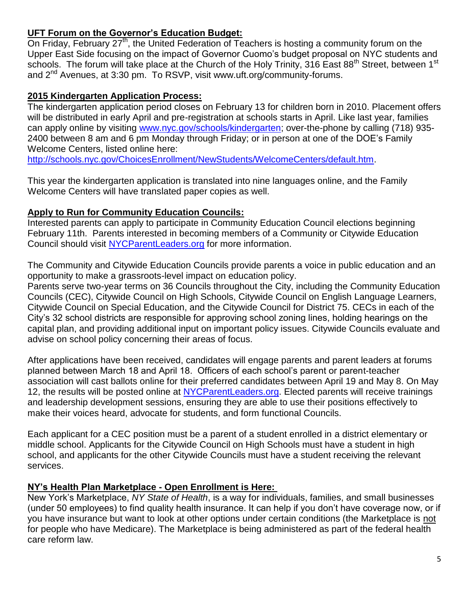#### **UFT Forum on the Governor's Education Budget:**

On Friday, February 27<sup>th</sup>, the United Federation of Teachers is hosting a community forum on the Upper East Side focusing on the impact of Governor Cuomo's budget proposal on NYC students and schools. The forum will take place at the Church of the Holy Trinity, 316 East 88<sup>th</sup> Street, between 1<sup>st</sup> and  $2<sup>nd</sup>$  Avenues, at 3:30 pm. To RSVP, visit www.uft.org/community-forums.

#### **2015 Kindergarten Application Process:**

The kindergarten application period closes on February 13 for children born in 2010. Placement offers will be distributed in early April and pre-registration at schools starts in April. Like last year, families can apply online by visiting [www.nyc.gov/schools/kindergarten;](http://www.nyc.gov/schools/kindergarten) over-the-phone by calling (718) 935- 2400 between 8 am and 6 pm Monday through Friday; or in person at one of the DOE's Family Welcome Centers, listed online here:

[http://schools.nyc.gov/ChoicesEnrollment/NewStudents/WelcomeCenters/default.htm.](http://schools.nyc.gov/ChoicesEnrollment/NewStudents/WelcomeCenters/default.htm)

This year the kindergarten application is translated into nine languages online, and the Family Welcome Centers will have translated paper copies as well.

#### **Apply to Run for Community Education Councils:**

Interested parents can apply to participate in Community Education Council elections beginning February 11th. Parents interested in becoming members of a Community or Citywide Education Council should visit [NYCParentLeaders.org](http://nycparentleaders.org/) for more information.

The Community and Citywide Education Councils provide parents a voice in public education and an opportunity to make a grassroots-level impact on education policy.

Parents serve two-year terms on 36 Councils throughout the City, including the Community Education Councils (CEC), Citywide Council on High Schools, Citywide Council on English Language Learners, Citywide Council on Special Education, and the Citywide Council for District 75. CECs in each of the City's 32 school districts are responsible for approving school zoning lines, holding hearings on the capital plan, and providing additional input on important policy issues. Citywide Councils evaluate and advise on school policy concerning their areas of focus.

After applications have been received, candidates will engage parents and parent leaders at forums planned between March 18 and April 18. Officers of each school's parent or parent-teacher association will cast ballots online for their preferred candidates between April 19 and May 8. On May 12, the results will be posted online at [NYCParentLeaders.org.](http://nycparentleaders.org/) Elected parents will receive trainings and leadership development sessions, ensuring they are able to use their positions effectively to make their voices heard, advocate for students, and form functional Councils.

Each applicant for a CEC position must be a parent of a student enrolled in a district elementary or middle school. Applicants for the Citywide Council on High Schools must have a student in high school, and applicants for the other Citywide Councils must have a student receiving the relevant services.

#### **NY's Health Plan Marketplace - Open Enrollment is Here:**

New York's Marketplace, *NY State of Health*, is a way for individuals, families, and small businesses (under 50 employees) to find quality health insurance. It can help if you don't have coverage now, or if you have insurance but want to look at other options under certain conditions (the Marketplace is not for people who have Medicare). The Marketplace is being administered as part of the federal health care reform law.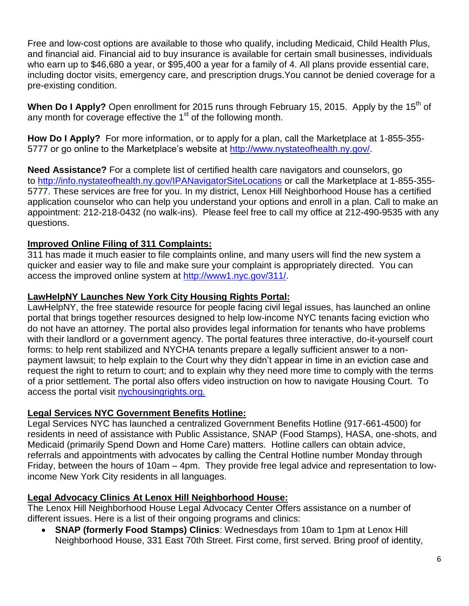Free and low-cost options are available to those who qualify, including Medicaid, Child Health Plus, and financial aid. Financial aid to buy insurance is available for certain small businesses, individuals who earn up to \$46,680 a year, or \$95,400 a year for a family of 4. All plans provide essential care, including doctor visits, emergency care, and prescription drugs.You cannot be denied coverage for a pre-existing condition.

When Do I Apply? Open enrollment for 2015 runs through February 15, 2015. Apply by the 15<sup>th</sup> of any month for coverage effective the 1<sup>st</sup> of the following month.

**How Do I Apply?** For more information, or to apply for a plan, call the Marketplace at [1-855-355-](tel:1-855-355-5777) [5777](tel:1-855-355-5777) or go online to the Marketplace's website at [http://www.nystateofhealth.ny.gov/.](http://www.nystateofhealth.ny.gov/)

**Need Assistance?** For a complete list of certified health care navigators and counselors, go to <http://info.nystateofhealth.ny.gov/IPANavigatorSiteLocations> or call the Marketplace at [1-855-355-](tel:1-855-355-5777) [5777.](tel:1-855-355-5777) These services are free for you. In my district, Lenox Hill Neighborhood House has a certified application counselor who can help you understand your options and enroll in a plan. Call to make an appointment: 212-218-0432 (no walk-ins). Please feel free to call my office at 212-490-9535 with any questions.

## **Improved Online Filing of 311 Complaints:**

311 has made it much easier to file complaints online, and many users will find the new system a quicker and easier way to file and make sure your complaint is appropriately directed. You can access the improved online system at [http://www1.nyc.gov/311/.](http://www1.nyc.gov/311/)

#### **LawHelpNY Launches New York City Housing Rights Portal:**

LawHelpNY, the free statewide resource for people facing civil legal issues, has launched an online portal that brings together resources designed to help low-income NYC tenants facing eviction who do not have an attorney. The portal also provides legal information for tenants who have problems with their landlord or a government agency. The portal features three interactive, do-it-yourself court forms: to help rent stabilized and NYCHA tenants prepare a legally sufficient answer to a nonpayment lawsuit; to help explain to the Court why they didn't appear in time in an eviction case and request the right to return to court; and to explain why they need more time to comply with the terms of a prior settlement. The portal also offers video instruction on how to navigate Housing Court. To access the portal visit [nychousingrights.org.](http://www.lawhelpny.org/nychousing)

#### **Legal Services NYC Government Benefits Hotline:**

Legal Services NYC has launched a centralized Government Benefits Hotline (917-661-4500) for residents in need of assistance with Public Assistance, SNAP (Food Stamps), HASA, one-shots, and Medicaid (primarily Spend Down and Home Care) matters. Hotline callers can obtain advice, referrals and appointments with advocates by calling the Central Hotline number Monday through Friday, between the hours of 10am – 4pm. They provide free legal advice and representation to lowincome New York City residents in all languages.

# **Legal Advocacy Clinics At Lenox Hill Neighborhood House:**

The Lenox Hill Neighborhood House Legal Advocacy Center Offers assistance on a number of different issues. Here is a list of their ongoing programs and clinics:

 **SNAP (formerly Food Stamps) Clinics**: Wednesdays from 10am to 1pm at Lenox Hill Neighborhood House, 331 East 70th Street. First come, first served. Bring proof of identity,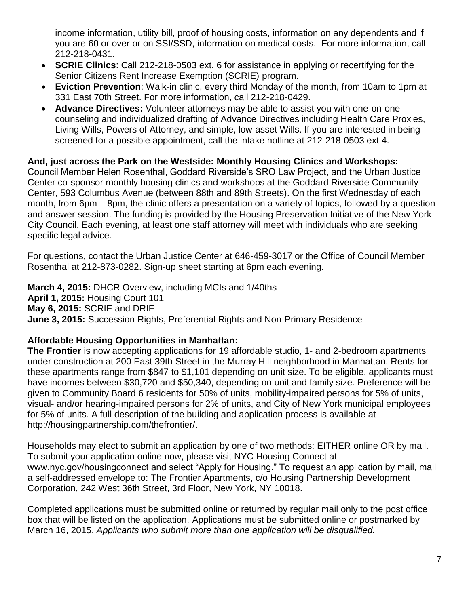income information, utility bill, proof of housing costs, information on any dependents and if you are 60 or over or on SSI/SSD, information on medical costs. For more information, call 212-218-0431.

- **SCRIE Clinics**: Call 212-218-0503 ext. 6 for assistance in applying or recertifying for the Senior Citizens Rent Increase Exemption (SCRIE) program.
- **Eviction Prevention**: Walk-in clinic, every third Monday of the month, from 10am to 1pm at 331 East 70th Street. For more information, call 212-218-0429.
- **Advance Directives:** Volunteer attorneys may be able to assist you with one-on-one counseling and individualized drafting of Advance Directives including Health Care Proxies, Living Wills, Powers of Attorney, and simple, low-asset Wills. If you are interested in being screened for a possible appointment, call the intake hotline at 212-218-0503 ext 4.

#### **And, just across the Park on the Westside: Monthly Housing Clinics and Workshops:**

Council Member Helen Rosenthal, Goddard Riverside's SRO Law Project, and the Urban Justice Center co-sponsor monthly housing clinics and workshops at the Goddard Riverside Community Center, 593 Columbus Avenue (between 88th and 89th Streets). On the first Wednesday of each month, from 6pm – 8pm, the clinic offers a presentation on a variety of topics, followed by a question and answer session. The funding is provided by the Housing Preservation Initiative of the New York City Council. Each evening, at least one staff attorney will meet with individuals who are seeking specific legal advice.

For questions, contact the Urban Justice Center at 646-459-3017 or the Office of Council Member Rosenthal at 212-873-0282. Sign-up sheet starting at 6pm each evening.

**March 4, 2015:** DHCR Overview, including MCIs and 1/40ths **April 1, 2015:** Housing Court 101 **May 6, 2015:** SCRIE and DRIE **June 3, 2015:** Succession Rights, Preferential Rights and Non-Primary Residence

#### **Affordable Housing Opportunities in Manhattan:**

**The Frontier** is now accepting applications for 19 affordable studio, 1- and 2-bedroom apartments under construction at 200 East 39th Street in the Murray Hill neighborhood in Manhattan. Rents for these apartments range from \$847 to \$1,101 depending on unit size. To be eligible, applicants must have incomes between \$30,720 and \$50,340, depending on unit and family size. Preference will be given to Community Board 6 residents for 50% of units, mobility-impaired persons for 5% of units, visual- and/or hearing-impaired persons for 2% of units, and City of New York municipal employees for 5% of units. A full description of the building and application process is available at http://housingpartnership.com/thefrontier/.

Households may elect to submit an application by one of two methods: EITHER online OR by mail. To submit your application online now, please visit NYC Housing Connect at www.nyc.gov/housingconnect and select "Apply for Housing." To request an application by mail, mail a self-addressed envelope to: The Frontier Apartments, c/o Housing Partnership Development Corporation, 242 West 36th Street, 3rd Floor, New York, NY 10018.

Completed applications must be submitted online or returned by regular mail only to the post office box that will be listed on the application. Applications must be submitted online or postmarked by March 16, 2015. *Applicants who submit more than one application will be disqualified.*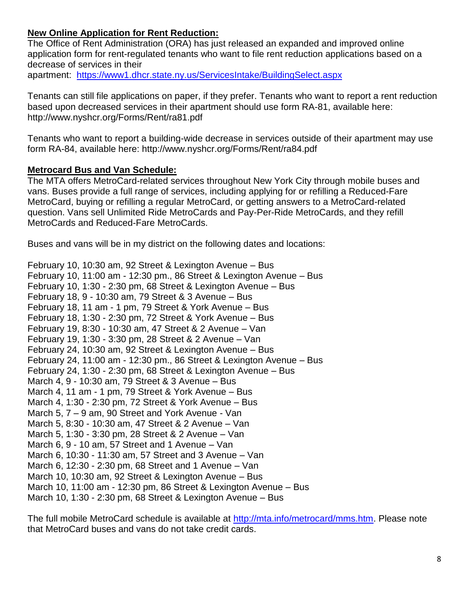## **New Online Application for Rent Reduction:**

The Office of Rent Administration (ORA) has just released an expanded and improved online application form for rent-regulated tenants who want to file rent reduction applications based on a decrease of services in their apartment: <https://www1.dhcr.state.ny.us/ServicesIntake/BuildingSelect.aspx>

Tenants can still file applications on paper, if they prefer. Tenants who want to report a rent reduction based upon decreased services in their apartment should use form RA-81, available here: http://www.nyshcr.org/Forms/Rent/ra81.pdf

Tenants who want to report a building-wide decrease in services outside of their apartment may use form RA-84, available here: http://www.nyshcr.org/Forms/Rent/ra84.pdf

#### **Metrocard Bus and Van Schedule:**

The MTA offers MetroCard-related services throughout New York City through mobile buses and vans. Buses provide a full range of services, including applying for or refilling a Reduced-Fare MetroCard, buying or refilling a regular MetroCard, or getting answers to a MetroCard-related question. Vans sell Unlimited Ride MetroCards and Pay-Per-Ride MetroCards, and they refill MetroCards and Reduced-Fare MetroCards.

Buses and vans will be in my district on the following dates and locations:

February 10, 10:30 am, 92 Street & Lexington Avenue – Bus February 10, 11:00 am - 12:30 pm., 86 Street & Lexington Avenue – Bus February 10, 1:30 - 2:30 pm, 68 Street & Lexington Avenue – Bus February 18, 9 - 10:30 am, 79 Street & 3 Avenue – Bus February 18, 11 am - 1 pm, 79 Street & York Avenue – Bus February 18, 1:30 - 2:30 pm, 72 Street & York Avenue – Bus February 19, 8:30 - 10:30 am, 47 Street & 2 Avenue – Van February 19, 1:30 - 3:30 pm, 28 Street & 2 Avenue – Van February 24, 10:30 am, 92 Street & Lexington Avenue – Bus February 24, 11:00 am - 12:30 pm., 86 Street & Lexington Avenue – Bus February 24, 1:30 - 2:30 pm, 68 Street & Lexington Avenue – Bus March 4, 9 - 10:30 am, 79 Street & 3 Avenue – Bus March 4, 11 am - 1 pm, 79 Street & York Avenue – Bus March 4, 1:30 - 2:30 pm, 72 Street & York Avenue – Bus March 5, 7 – 9 am, 90 Street and York Avenue - Van March 5, 8:30 - 10:30 am, 47 Street & 2 Avenue – Van March 5, 1:30 - 3:30 pm, 28 Street & 2 Avenue – Van March 6, 9 - 10 am, 57 Street and 1 Avenue – Van March 6, 10:30 - 11:30 am, 57 Street and 3 Avenue – Van March 6, 12:30 - 2:30 pm, 68 Street and 1 Avenue – Van March 10, 10:30 am, 92 Street & Lexington Avenue – Bus March 10, 11:00 am - 12:30 pm, 86 Street & Lexington Avenue – Bus March 10, 1:30 - 2:30 pm, 68 Street & Lexington Avenue – Bus

The full mobile MetroCard schedule is available at [http://mta.info/metrocard/mms.htm.](http://mta.info/metrocard/mms.htm) Please note that MetroCard buses and vans do not take credit cards.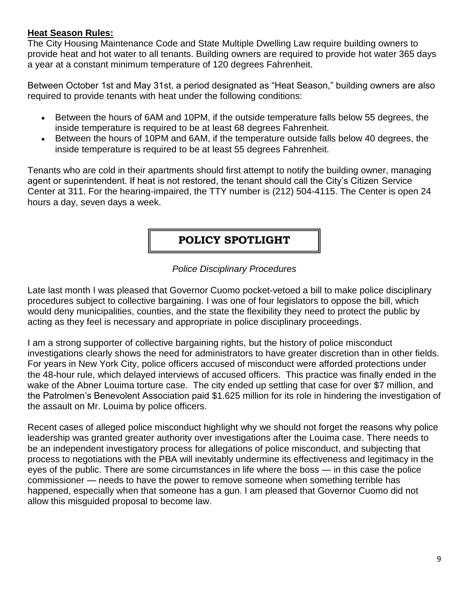#### **Heat Season Rules:**

The City Housing Maintenance Code and State Multiple Dwelling Law require building owners to provide heat and hot water to all tenants. Building owners are required to provide hot water 365 days a year at a constant minimum temperature of 120 degrees Fahrenheit.

Between October 1st and May 31st, a period designated as "Heat Season," building owners are also required to provide tenants with heat under the following conditions:

- Between the hours of 6AM and 10PM, if the outside temperature falls below 55 degrees, the inside temperature is required to be at least 68 degrees Fahrenheit.
- Between the hours of 10PM and 6AM, if the temperature outside falls below 40 degrees, the inside temperature is required to be at least 55 degrees Fahrenheit.

Tenants who are cold in their apartments should first attempt to notify the building owner, managing agent or superintendent. If heat is not restored, the tenant should call the City's Citizen Service Center at 311. For the hearing-impaired, the TTY number is [\(212\) 504-4115.](tel:%28212%29%20504-4115) The Center is open 24 hours a day, seven days a week.

# **POLICY SPOTLIGHT**

#### *Police Disciplinary Procedures*

Late last month I was pleased that Governor Cuomo pocket-vetoed a bill to make police disciplinary procedures subject to collective bargaining. I was one of four legislators to oppose the bill, which would deny municipalities, counties, and the state the flexibility they need to protect the public by acting as they feel is necessary and appropriate in police disciplinary proceedings.

I am a strong supporter of collective bargaining rights, but the history of police misconduct investigations clearly shows the need for administrators to have greater discretion than in other fields. For years in New York City, police officers accused of misconduct were afforded protections under the 48-hour rule, which delayed interviews of accused officers. This practice was finally ended in the wake of the Abner Louima torture case. The city ended up settling that case for over \$7 million, and the Patrolmen's Benevolent Association paid \$1.625 million for its role in hindering the investigation of the assault on Mr. Louima by police officers.

Recent cases of alleged police misconduct highlight why we should not forget the reasons why police leadership was granted greater authority over investigations after the Louima case. There needs to be an independent investigatory process for allegations of police misconduct, and subjecting that process to negotiations with the PBA will inevitably undermine its effectiveness and legitimacy in the eyes of the public. There are some circumstances in life where the boss — in this case the police commissioner — needs to have the power to remove someone when something terrible has happened, especially when that someone has a gun. I am pleased that Governor Cuomo did not allow this misguided proposal to become law.